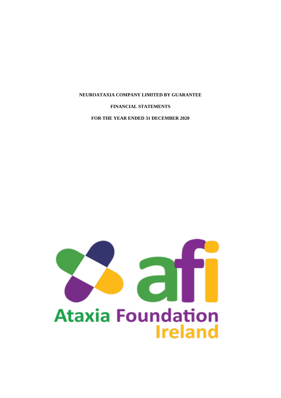### **FINANCIAL STATEMENTS**

**FOR THE YEAR ENDED 31 DECEMBER 2020**

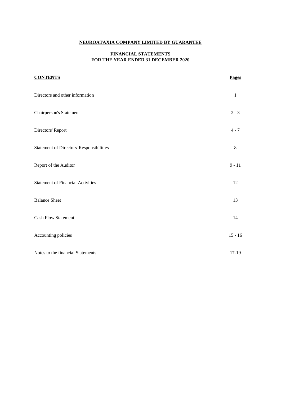# **FINANCIAL STATEMENTS FOR THE YEAR ENDED 31 DECEMBER 2020**

| <b>CONTENTS</b>                                 | <b>Pages</b> |
|-------------------------------------------------|--------------|
| Directors and other information                 | $\mathbf{1}$ |
| <b>Chairperson's Statement</b>                  | $2 - 3$      |
| Directors' Report                               | $4 - 7$      |
| <b>Statement of Directors' Responsibilities</b> | $\,8\,$      |
| Report of the Auditor                           | $9 - 11$     |
| <b>Statement of Financial Activities</b>        | 12           |
| <b>Balance Sheet</b>                            | 13           |
| <b>Cash Flow Statement</b>                      | 14           |
| Accounting policies                             | $15 - 16$    |
| Notes to the financial Statements               | 17-19        |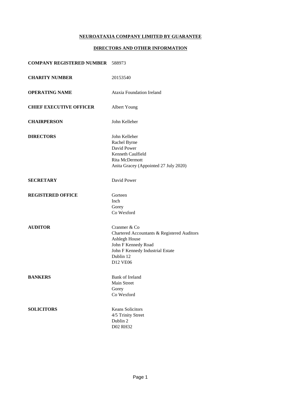### **DIRECTORS AND OTHER INFORMATION**

# **COMPANY REGISTERED NUMBER** 588973

| <b>CHARITY NUMBER</b>          | 20153540                                                                                                                                                         |
|--------------------------------|------------------------------------------------------------------------------------------------------------------------------------------------------------------|
| <b>OPERATING NAME</b>          | <b>Ataxia Foundation Ireland</b>                                                                                                                                 |
| <b>CHIEF EXECUTIVE OFFICER</b> | Albert Young                                                                                                                                                     |
| <b>CHAIRPERSON</b>             | John Kelleher                                                                                                                                                    |
| <b>DIRECTORS</b>               | John Kelleher<br>Rachel Byrne<br>David Power<br>Kenneth Caulfield<br>Rita McDermott<br>Anita Gracey (Appointed 27 July 2020)                                     |
| <b>SECRETARY</b>               | David Power                                                                                                                                                      |
| <b>REGISTERED OFFICE</b>       | Gorteen<br>Inch<br>Gorey<br>Co Wexford                                                                                                                           |
| <b>AUDITOR</b>                 | Cranmer & Co<br>Chartered Accountants & Registered Auditors<br>Ashlegh House<br>John F Kennedy Road<br>John F Kennedy Industrial Estate<br>Dublin 12<br>D12 VE06 |
| <b>BANKERS</b>                 | <b>Bank of Ireland</b><br>Main Street<br>Gorey<br>Co Wexford                                                                                                     |
| <b>SOLICITORS</b>              | <b>Keans Solicitors</b><br>4/5 Trinity Street<br>Dublin 2<br><b>D02 RH32</b>                                                                                     |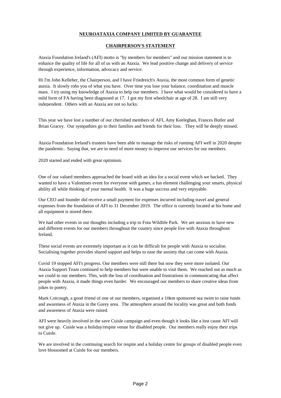### **CHAIRPERSON'S STATEMENT**

Ataxia Foundation Ireland's (AFI) motto is "by members for members" and our mission statement is to enhance the quality of life for all of us with an Ataxia. We lead positive change and delivery of service through experience, information, advocacy and service.

Hi I'm John Kelleher, the Chairperson, and I have Friedreich's Ataxia, the most common form of genetic ataxia. It slowly robs you of what you have. Over time you lose your balance, coordination and muscle mass. I try using my knowledge of Ataxia to help our members. I have what would be considered to have a mild form of FA having been diagnosed at 17. I got my first wheelchair at age of 28. I am still very independent. Others with an Ataxia are not so lucky.

This year we have lost a number of our cherished members of AFI, Amy Keeleghan, Frances Butler and Brian Gracey. Our sympathies go to their families and friends for their loss. They will be deeply missed.

Ataxia Foundation Ireland's trustees have been able to manage the risks of running AFI well in 2020 despite the pandemic. Saying that, we are in need of more money to improve our services for our members.

2020 started and ended with great optimism.

One of our valued members approached the board with an idea for a social event which we backed. They wanted to have a Valentines event for everyone with games, a fun element challenging your smarts, physical ability all while thinking of your mental health. It was a huge success and very enjoyable.

Our CEO and founder did receive a small payment for expenses incurred including travel and general expenses from the foundation of AFI to 31 December 2019. The office is currently located at his home and all equipment is stored there.

We had other events in our thoughts including a trip to Fota Wildlife Park. We are anxious to have new and different events for our members throughout the country since people live with Ataxia throughout Ireland.

These social events are extremely important as it can be difficult for people with Ataxia to socialise. Socialising together provides shared support and helps to ease the anxiety that can come with Ataxia.

Covid 19 stopped AFI's progress. Our members were still there but now they were more isolated. Our Ataxia Support Team continued to help members but were unable to visit them. We reached out as much as we could to our members. This, with the loss of coordination and frustrations in communicating that affect people with Ataxia, it made things even harder. We encouraged our members to share creative ideas from jokes to poetry.

Mark Colcough, a good friend of one of our members, organised a 10km sponsored sea swim to raise funds and awareness of Ataxia in the Gorey area. The atmosphere around the locality was great and both funds and awareness of Ataxia were raised.

AFI were heavily involved in the save Cuisle campaign and even though it looks like a lost cause AFI will not give up. Cuisle was a holiday/respite venue for disabled people. Our members really enjoy their trips to Cuisle.

We are involved in the continuing search for respite and a holiday centre for groups of disabled people even love blossomed at Cuisle for our members.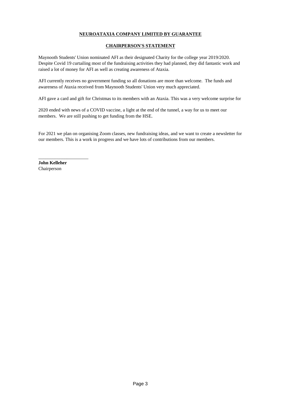# **CHAIRPERSON'S STATEMENT**

Maynooth Students' Union nominated AFI as their designated Charity for the college year 2019/2020. Despite Covid 19 curtailing most of the fundraising activities they had planned, they did fantastic work and raised a lot of money for AFI as well as creating awareness of Ataxia.

AFI currently receives no government funding so all donations are more than welcome. The funds and awareness of Ataxia received from Maynooth Students' Union very much appreciated.

AFI gave a card and gift for Christmas to its members with an Ataxia. This was a very welcome surprise for

2020 ended with news of a COVID vaccine, a light at the end of the tunnel, a way for us to meet our members. We are still pushing to get funding from the HSE.

For 2021 we plan on organising Zoom classes, new fundraising ideas, and we want to create a newsletter for our members. This is a work in progress and we have lots of contributions from our members.

**John Kelleher** Chairperson

\_\_\_\_\_\_\_\_\_\_\_\_\_\_\_\_\_\_\_\_\_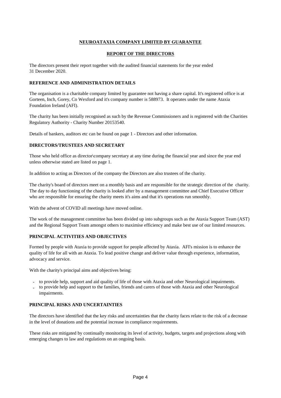### **REPORT OF THE DIRECTORS**

The directors present their report together with the audited financial statements for the year ended 31 December 2020.

### **REFERENCE AND ADMINISTRATION DETAILS**

The organisation is a charitable company limited by guarantee not having a share capital. It's registered office is at Gorteen, Inch, Gorey, Co Wexford and it's company number is 588973. It operates under the name Ataxia Foundation Ireland (AFI).

The charity has been initially recognised as such by the Revenue Commissioners and is registered with the Charities Regulatory Authority - Charity Number 20153540.

Details of bankers, auditors etc can be found on page 1 - Directors and other information.

### **DIRECTORS/TRUSTEES AND SECRETARY**

Those who held office as director\company secretary at any time during the financial year and since the year end unless otherwise stated are listed on page 1.

In addition to acting as Directors of the company the Directors are also trustees of the charity.

The charity's board of directors meet on a monthly basis and are responsible for the strategic direction of the charity. The day to day functioning of the charity is looked after by a management committee and Chief Executive Officer who are responsible for ensuring the charity meets it's aims and that it's operations run smoothly.

With the advent of COVID all meetings have moved online.

The work of the management committee has been divided up into subgroups such as the Ataxia Support Team (AST) and the Regional Support Team amongst others to maximise efficiency and make best use of our limited resources.

# **PRINCIPAL ACTIVITIES AND OBJECTIVES**

Formed by people with Ataxia to provide support for people affected by Ataxia. AFI's mission is to enhance the quality of life for all with an Ataxia. To lead positive change and deliver value through experience, information, advocacy and service.

With the charity's principal aims and objectives being:

- to provide help, support and aid quality of life of those with Ataxia and other Neurological impairments.
- to provide help and support to the families, friends and carers of those with Ataxia and other Neurological impairments.

### **PRINCIPAL RISKS AND UNCERTAINTIES**

The directors have identified that the key risks and uncertainties that the charity faces relate to the risk of a decrease in the level of donations and the potential increase in compliance requirements.

These risks are mitigated by continually monitoring its level of activity, budgets, targets and projections along with emerging changes to law and regulations on an ongoing basis.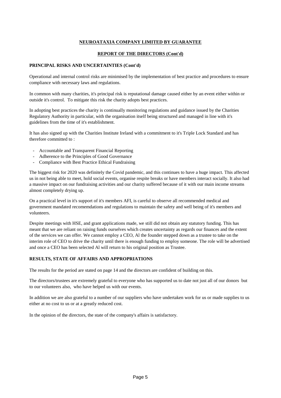# **REPORT OF THE DIRECTORS (Cont'd)**

### **PRINCIPAL RISKS AND UNCERTAINTIES (Cont'd)**

Operational and internal control risks are minimised by the implementation of best practice and procedures to ensure compliance with necessary laws and regulations.

In common with many charities, it's principal risk is reputational damage caused either by an event either within or outside it's control. To mitigate this risk the charity adopts best practices.

In adopting best practices the charity is continually monitoring regulations and guidance issued by the Charities Regulatory Authority in particular, with the organisation itself being structured and managed in line with it's guidelines from the time of it's establishment.

It has also signed up with the Charities Institute Ireland with a commitment to it's Triple Lock Standard and has therefore committed to :

- Accountable and Transparent Financial Reporting
- Adherence to the Principles of Good Governance
- Compliance with Best Practice Ethical Fundraising

The biggest risk for 2020 was definitely the Covid pandemic, and this continues to have a huge impact. This affected us in not being able to meet, hold social events, organise respite breaks or have members interact socially. It also had a massive impact on our fundraising activities and our charity suffered because of it with our main income streams almost completely drying up.

On a practical level in it's support of it's members AFI, is careful to observe all recommended medical and government mandated recomemdations and regulations to maintain the safety and well being of it's members and volunteers.

Despite meetings with HSE, and grant applications made, we still did not obtain any statutory funding. This has meant that we are reliant on raising funds ourselves which creates uncertainty as regards our finances and the extent of the services we can offer. We cannot employ a CEO, Al the founder stepped down as a trustee to take on the interim role of CEO to drive the charity until there is enough funding to employ someone. The role will be advertised and once a CEO has been selected Al will return to his original position as Trustee.

# **RESULTS, STATE OF AFFAIRS AND APPROPRIATIONS**

The results for the period are stated on page 14 and the directors are confident of building on this.

The directors/trustees are extremely grateful to everyone who has supported us to date not just all of our donors but to our volunteers also, who have helped us with our events.

In addition we are also grateful to a number of our suppliers who have undertaken work for us or made supplies to us either at no cost to us or at a greatly reduced cost.

In the opinion of the directors, the state of the company's affairs is satisfactory.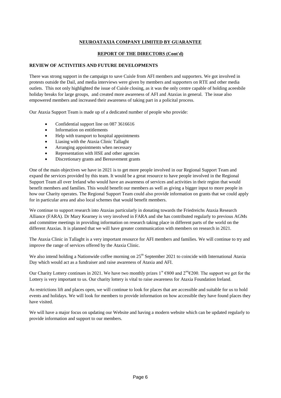# **REPORT OF THE DIRECTORS (Cont'd)**

### **REVIEW OF ACTIVITIES AND FUTURE DEVELOPMENTS**

There was strong support in the campaign to save Cuisle from AFI members and supporters. We got involved in protests outside the Dail, and media interviews were given by members and supporters on RTE and other media outlets. This not only highlighted the issue of Cuisle closing, as it was the only centre capable of holding aceesbile holiday breaks for large groups, and created more awareness of AFI and Ataxias in general. The issue also empowered members and increased their awareness of taking part in a policital process.

Our Ataxia Support Team is made up of a dedicated number of people who provide:

- Confidential support line on 087 3616616
- Information on entitlements
- Help with transport to hospital appointments
- Liasing with the Ataxia Clinic Tallaght
- Arranging appointments when necessary
- Representation with HSE and other agencies
- Discretionary grants and Bereavement grants

One of the main objectives we have in 2021 is to get more people involved in our Regional Support Team and expand the services provided by this team. It would be a great resource to have people involved in the Regional Support Team all over Ireland who would have an awareness of services and activities in their region that would benefit members and families. This would benefit our members as well as giving a bigger input to more people in how our Charity operates. The Regional Support Team could also provide information on grants that we could apply for in particular area and also local schemes that would benefit members.

We continue to support research into Ataxias particularly in donating towards the Friedreichs Ataxia Research Alliance (FARA). Dr Mary Kearney is very involved in FARA and she has contributed regularly to previous AGMs and committee meetings in providing information on research taking place in different parts of the world on the different Ataxias. It is planned that we will have greater communication with members on research in 2021.

The Ataxia Clinic in Tallaght is a very important resource for AFI members and families. We will continue to try and improve the range of services offered by the Ataxia Clinic.

We also intend holding a Nationwide coffee morning on  $25<sup>th</sup>$  September 2021 to coincide with International Ataxia Day which would act as a fundraiser and raise awareness of Ataxia and AFI.

Our Charity Lottery continues in 2021. We have two monthly prizes  $1^{st}$  €800 and  $2^{nd}$  ∈200. The support we get for the Lottery is very important to us. Our charity lottery is vital to raise awareness for Ataxia Foundation Ireland.

As restrictions lift and places open, we will continue to look for places that are accessible and suitable for us to hold events and holidays. We will look for members to provide information on how accessible they have found places they have visited.

We will have a major focus on updating our Website and having a modern website which can be updated regularly to provide information and support to our members.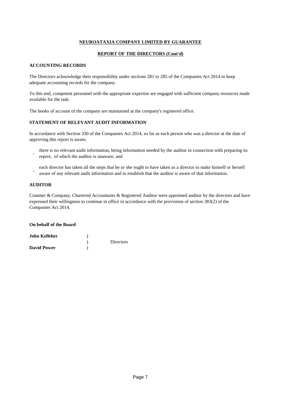### **REPORT OF THE DIRECTORS (Cont'd)**

### **ACCOUNTING RECORDS**

The Directors acknowledge their responsibility under sections 281 to 285 of the Companies Act 2014 to keep adequate accounting records for the company.

To this end, competent personnel with the appropriate expertise are engaged with sufficient company resources made available for the task.

The books of account of the company are maintained at the company's registered office.

### **STATEMENT OF RELEVANT AUDIT INFORMATION**

In accordance with Section 330 of the Companies Act 2014, so far as each person who was a director at the date of approving this report is aware,

- there is no relevant audit information, being information needed by the auditor in connection with preparing its report, of which the auditor is unaware; and
- each director has taken all the steps that he or she ought to have taken as a director to make himself or herself aware of any relevant audit information and to establish that the auditor is aware of that information.

### **AUDITOR**

Cranmer & Company, Chartered Accountants & Registered Auditor were appointed auditor by the directors and have expressed their willingness to continue in office in accordance with the provisions of section 383(2) of the Companies Act 2014.

#### **On behalf of the Board**

| John Kelleher      |                  |
|--------------------|------------------|
|                    | <b>Directors</b> |
| <b>David Power</b> |                  |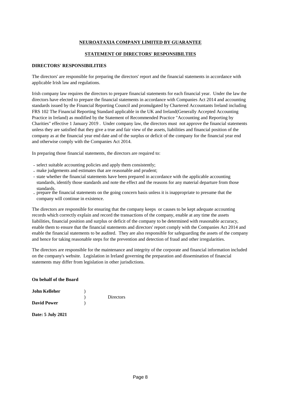# **STATEMENT OF DIRECTORS' RESPONSIBILTIES**

### **DIRECTORS' RESPONSIBILITIES**

The directors' are responsible for preparing the directors' report and the financial statements in accordance with applicable Irish law and regulations.

Irish company law requires the directors to prepare financial statements for each financial year. Under the law the directors have elected to prepare the financial statements in accordance with Companies Act 2014 and accounting standards issued by the Financial Reporting Council and promulgated by Chartered Accountants Ireland including FRS 102 The Financial Reporting Standard applicable in the UK and Ireland(Generally Accepted Accounting Practice in Ireland) as modified by the Statement of Recommended Practice "Accounting and Reporting by Charities" effective 1 January 2019 . Under company law, the directors must not approve the financial statements unless they are satisfied that they give a true and fair view of the assets, liabilities and financial position of the company as at the financial year end date and of the surplus or deficit of the company for the financial year end and otherwise comply with the Companies Act 2014.

In preparing those financial statements, the directors are required to:

- select suitable accounting policies and apply them consistently;
- make judgements and estimates that are reasonable and prudent;
- state whether the financial statements have been prepared in accordance with the applicable accounting standards, identify those standards and note the effect and the reasons for any material departure from those standards.
- prepare the financial statements on the going concern basis unless it is inappropriate to presume that the company will continue in existence.

The directors are responsible for ensuring that the company keeps or causes to be kept adequate accounting records which correctly explain and record the transactions of the company, enable at any time the assets liabilities, financial position and surplus or deficit of the company to be determined with reasonable accuracy, enable them to ensure that the financial statements and directors' report comply with the Companies Act 2014 and enable the financial statements to be audited. They are also responsible for safeguarding the assets of the company and hence for taking reasonable steps for the prevention and detection of fraud and other irregularities.

The directors are responsible for the maintenance and integrity of the corporate and financial information included on the company's website. Legislation in Ireland governing the preparation and dissemination of financial statements may differ from legislation in other jurisdictions.

#### **On behalf of the Board**

| <b>John Kelleher</b> |                  |
|----------------------|------------------|
|                      | <b>Directors</b> |
| <b>David Power</b>   |                  |

**Date: 5 July 2021**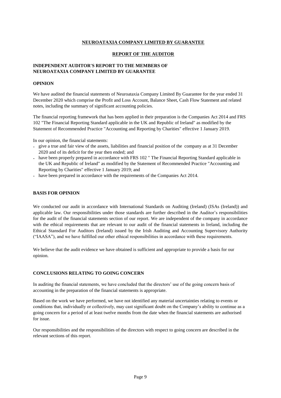### **REPORT OF THE AUDITOR**

### **INDEPENDENT AUDITOR'S REPORT TO THE MEMBERS OF NEUROATAXIA COMPANY LIMITED BY GUARANTEE**

### **OPINION**

We have audited the financial statements of Neuroataxia Company Limited By Guarantee for the year ended 31 December 2020 which comprise the Profit and Loss Account, Balance Sheet, Cash Flow Statement and related notes, including the summary of significant accounting policies.

The financial reporting framework that has been applied in their preparation is the Companies Act 2014 and FRS 102 "The Financial Reporting Standard applicable in the UK and Republic of Ireland" as modified by the Statement of Recommended Practice "Accounting and Reporting by Charities" effective 1 January 2019.

In our opinion, the financial statements:

- give a true and fair view of the assets, liabilities and financial position of the company as at 31 December 2020 and of its deficit for the year then ended; and
- have been properly prepared in accordance with FRS 102 " The Financial Reporting Standard applicable in the UK and Republic of Ireland" as modified by the Statement of Recommended Practice "Accounting and Reporting by Charities" effective 1 January 2019; and
- have been prepared in accordance with the requirements of the Companies Act 2014.

### **BASIS FOR OPINION**

We conducted our audit in accordance with International Standards on Auditing (Ireland) (ISAs (Ireland)) and applicable law. Our responsibilities under those standards are further described in the Auditor's responsibilities for the audit of the financial statements section of our report. We are independent of the company in accordance with the ethical requirements that are relevant to our audit of the financial statements in Ireland, including the Ethical Stansdard For Auditors (Ireland) issued by the Irish Auditing and Accounting Supervisory Authority ("IAASA"), and we have fulfilled our other ethical responsibilities in accordance with these requirements.

We believe that the audit evidence we have obtained is sufficient and appropriate to provide a basis for our opinion.

### **CONCLUSIONS RELATING TO GOING CONCERN**

In auditing the financial statements, we have concluded that the directors' use of the going concern basis of accounting in the preparation of the financial statements is appropriate.

Based on the work we have performed, we have not identified any material uncertainties relating to events or conditions that, individually or collectively, may cast significant doubt on the Company's ability to continue as a going concern for a period of at least twelve months from the date when the financial statements are authorised for issue.

Our responsibilities and the responsibilities of the directors with respect to going concern are described in the relevant sections of this report.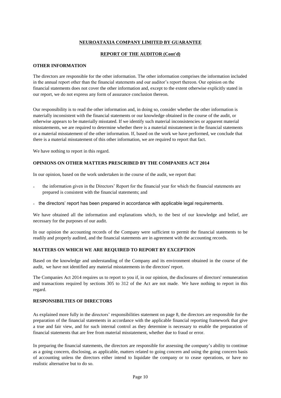### **REPORT OF THE AUDITOR (Cont'd)**

### **OTHER INFORMATION**

The directors are responsible for the other information. The other information comprises the information included in the annual report other than the financial statements and our auditor's report thereon. Our opinion on the financial statements does not cover the other information and, except to the extent otherwise explicitly stated in our report, we do not express any form of assurance conclusion thereon.

Our responsibility is to read the other information and, in doing so, consider whether the other information is materially inconsistent with the financial statements or our knowledge obtained in the course of the audit, or otherwise appears to be materially misstated. If we identify such material inconsistencies or apparent material misstatements, we are required to determine whether there is a material misstatement in the financial statements or a material misstatement of the other information. If, based on the work we have performed, we conclude that there is a material misstatement of this other information, we are required to report that fact.

We have nothing to report in this regard.

### **OPINIONS ON OTHER MATTERS PRESCRIBED BY THE COMPANIES ACT 2014**

In our opinion, based on the work undertaken in the course of the audit, we report that:

- the information given in the Directors' Report for the financial year for which the financial statements are prepared is consistent with the financial statements; and
- the directors' report has been prepared in accordance with applicable legal requirements.

We have obtained all the information and explanations which, to the best of our knowledge and belief, are necessary for the purposes of our audit.

In our opinion the accounting records of the Company were sufficient to permit the financial statements to be readily and properly audited, and the financial statements are in agreement with the accounting records.

### **MATTERS ON WHICH WE ARE REQUIRED TO REPORT BY EXCEPTION**

Based on the knowledge and understanding of the Company and its environment obtained in the course of the audit, we have not identified any material misstatements in the directors' report.

The Companies Act 2014 requires us to report to you if, in our opinion, the disclosures of directors' remuneration and transactions required by sections 305 to 312 of the Act are not made. We have nothing to report in this regard.

#### **RESPONSIBILTIES OF DIRECTORS**

As explained more fully in the directors' responsibilities statement on page 8, the directors are responsible for the preparation of the financial statements in accordance with the applicable financial reporting framework that give a true and fair view, and for such internal control as they determine is necessary to enable the preparation of financial statements that are free from material misstatement, whether due to fraud or error.

In preparing the financial statements, the directors are responsible for assessing the company's ability to continue as a going concern, disclosing, as applicable, matters related to going concern and using the going concern basis of accounting unless the directors either intend to liquidate the company or to cease operations, or have no realistic alternative but to do so.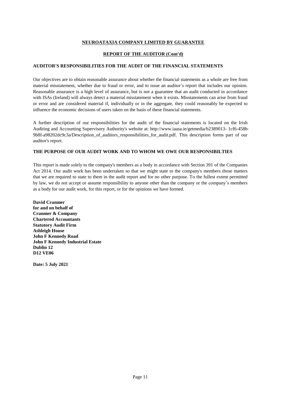# **REPORT OF THE AUDITOR (Cont'd)**

### **AUDITOR'S RESPONSIBILITIES FOR THE AUDIT OF THE FINANCIAL STATEMENTS**

Our objectives are to obtain reasonable assurance about whether the financial statements as a whole are free from material misstatement, whether due to fraud or error, and to issue an auditor's report that includes our opinion. Reasonable assurance is a high level of assurance, but is not a guarantee that an audit conducted in accordance with ISAs (Ireland) will always detect a material misstatement when it exists. Misstatements can arise from fraud or error and are considered material if, individually or in the aggregate, they could reasonably be expected to influence the economic decisions of users taken on the basis of these financial statements.

A further description of our responsibilities for the audit of the financial statements is located on the Irish Auditing and Accounting Supervisory Authority's website at: http://www.iaasa.ie/getmedia/b2389013- 1cf6-458b-9b8f-a98202dc9c3a/Description\_of\_auditors\_responsibilities\_for\_audit.pdf. This description forms part of our auditor's report.

### **THE PURPOSE OF OUR AUDIT WORK AND TO WHOM WE OWE OUR RESPONSIBILTIES**

This report is made solely to the company's members as a body in accordance with Section 391 of the Companies Act 2014. Our audit work has been undertaken so that we might state to the company's members those matters that we are required to state to them in the audit report and for no other purpose. To the fullest extent permitted by law, we do not accept or assume responsibility to anyone other than the company or the company's members as a body for our audit work, for this report, or for the opinions we have formed.

**David Cranmer for and on behalf of Cranmer & Company Chartered Accountants Statutory Audit Firm Ashleigh House John F Kennedy Road John F Kennedy Industrial Estate Dublin 12 D12 VE06**

**Date: 5 July 2021**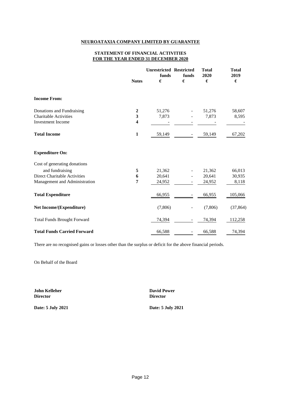#### **STATEMENT OF FINANCIAL ACTIVITIES FOR THE YEAR ENDED 31 DECEMBER 2020**

|                                                          | <b>Notes</b>      | <b>Unrestricted Restricted</b><br>funds<br>€ | funds<br>€               | <b>Total</b><br>2020<br>€ | <b>Total</b><br>2019<br>$\pmb{\epsilon}$ |
|----------------------------------------------------------|-------------------|----------------------------------------------|--------------------------|---------------------------|------------------------------------------|
| <b>Income From:</b>                                      |                   |                                              |                          |                           |                                          |
| Donations and Fundraising                                | $\boldsymbol{2}$  | 51,276                                       |                          | 51,276                    | 58,607                                   |
| <b>Charitable Activities</b><br><b>Investment</b> Income | $\mathbf{3}$<br>4 | 7,873                                        |                          | 7,873                     | 8,595                                    |
| <b>Total Income</b>                                      | 1                 | 59,149                                       |                          | 59,149                    | 67,202                                   |
| <b>Expenditure On:</b>                                   |                   |                                              |                          |                           |                                          |
| Cost of generating donations                             |                   |                                              |                          |                           |                                          |
| and fundraising                                          | 5                 | 21,362                                       |                          | 21,362                    | 66,013                                   |
| <b>Direct Charitable Activities</b>                      | 6                 | 20,641                                       |                          | 20,641                    | 30,935                                   |
| Management and Administration                            | 7                 | 24,952                                       |                          | 24,952                    | 8,118                                    |
| <b>Total Expenditure</b>                                 |                   | 66,955                                       |                          | 66,955                    | 105,066                                  |
| <b>Net Income/(Expenditure)</b>                          |                   | (7,806)                                      |                          | (7,806)                   | (37, 864)                                |
| <b>Total Funds Brought Forward</b>                       |                   | 74,394                                       |                          | 74,394                    | 112,258                                  |
| <b>Total Funds Carried Forward</b>                       |                   | 66,588                                       | $\overline{\phantom{a}}$ | 66,588                    | 74,394                                   |

There are no recognised gains or losses other than the surplus or deficit for the above financial periods.

On Behalf of the Board

**Director Director**

**John Kelleher David Power**

**Date: 5 July 2021 Date: 5 July 2021**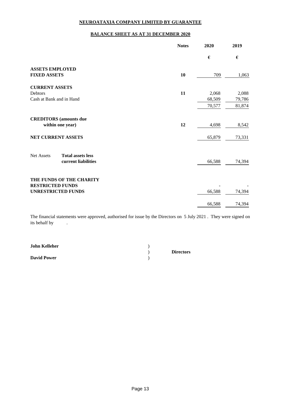### **BALANCE SHEET AS AT 31 DECEMBER 2020**

|                                               | <b>Notes</b> | 2020   | 2019             |
|-----------------------------------------------|--------------|--------|------------------|
|                                               |              | €      | $\pmb{\epsilon}$ |
| <b>ASSETS EMPLOYED</b>                        |              |        |                  |
| <b>FIXED ASSETS</b>                           | 10           | 709    | 1,063            |
| <b>CURRENT ASSETS</b>                         |              |        |                  |
| Debtors                                       | 11           | 2,068  | 2,088            |
| Cash at Bank and in Hand                      |              | 68,509 | 79,786           |
|                                               |              | 70,577 | 81,874           |
| <b>CREDITORS</b> (amounts due                 |              |        |                  |
| within one year)                              | 12           | 4,698  | 8,542            |
| NET CURRENT ASSETS                            |              | 65,879 | 73,331           |
| <b>Net Assets</b><br><b>Total assets less</b> |              |        |                  |
| current liabilities                           |              | 66,588 | 74,394           |
| THE FUNDS OF THE CHARITY                      |              |        |                  |
| <b>RESTRICTED FUNDS</b>                       |              |        |                  |
| <b>UNRESTRICTED FUNDS</b>                     |              | 66,588 | 74,394           |
|                                               |              | 66,588 | 74,394           |

The financial statements were approved, authorised for issue by the Directors on 5 July 2021 . They were signed on its behalf by .

| <b>John Kelleher</b> |                  |  |
|----------------------|------------------|--|
|                      | <b>Directors</b> |  |
| <b>David Power</b>   |                  |  |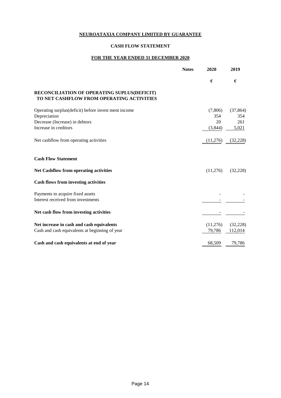# **CASH FLOW STATEMENT**

# **FOR THE YEAR ENDED 31 DECEMBER 2020**

|                                                                                          | <b>Notes</b> | 2020     | 2019      |
|------------------------------------------------------------------------------------------|--------------|----------|-----------|
|                                                                                          |              | €        | €         |
| RECONCILIATION OF OPERATING SUPLUS(DEFICIT)<br>TO NET CASHFLOW FROM OPERATING ACTIVITIES |              |          |           |
| Operating surplus(deficit) before invest ment income                                     |              | (7,806)  | (37, 864) |
| Depreciation                                                                             |              | 354      | 354       |
| Decrease (Increase) in debtors                                                           |              | 20       | 261       |
| Increase in creditors                                                                    |              | (3,844)  | 5,021     |
| Net cashflow from operating activities                                                   |              | (11,276) | (32, 228) |
| <b>Cash Flow Statement</b>                                                               |              |          |           |
| <b>Net Cashflow from operating activities</b>                                            |              | (11,276) | (32, 228) |
| <b>Cash flows from investing activities</b>                                              |              |          |           |
| Payments to acquire fixed assets                                                         |              |          |           |
| Interest received from investments                                                       |              |          |           |
| Net cash flow from investing activities                                                  |              |          |           |
| Net increase in cash and cash equivalents                                                |              | (11,276) | (32, 228) |
| Cash and cash equivalents at beginning of year                                           |              | 79,786   | 112,014   |
| Cash and cash equivalents at end of year                                                 |              | 68,509   | 79,786    |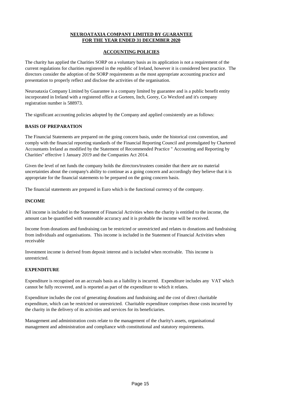# **NEUROATAXIA COMPANY LIMITED BY GUARANTEE FOR THE YEAR ENDED 31 DECEMBER 2020**

### **ACCOUNTING POLICIES**

The charity has applied the Charities SORP on a voluntary basis as its application is not a requirement of the current regulations for charities registered in the republic of Ireland, however it is considered best practice. The directors consider the adoption of the SORP requirements as the most appropriate accounting practice and presentation to properly reflect and disclose the activities of the organisation.

Neuroataxia Company Limited by Guarantee is a company limited by guarantee and is a public benefit entity incorporated in Ireland with a registered office at Gorteen, Inch, Gorey, Co Wexford and it's company registration number is 588973.

The significant accounting policies adopted by the Company and applied consistently are as follows:

### **BASIS OF PREPARATION**

The Financial Statements are prepared on the going concern basis, under the historical cost convention, and comply with the financial reporting standards of the Financial Reporting Council and promulgated by Chartered Accountants Ireland as modified by the Statement of Recommended Practice " Accounting and Reporting by Charities" effective 1 January 2019 and the Companies Act 2014.

Given the level of net funds the company holds the directors/trustees consider that there are no material uncertainties about the company's ability to continue as a going concern and accordingly they believe that it is appropriate for the financial statements to be prepared on the going concern basis.

The financial statements are prepared in Euro which is the functional currency of the company.

### **INCOME**

All income is included in the Statement of Financial Activities when the charity is entitled to the income, the amount can be quantified with reasonable accuracy and it is probable the income will be received.

Income from donations and fundraising can be restricted or unrestricted and relates to donations and fundraising from individuals and organisations. This income is included in the Statement of Financial Activities when receivable

Investment income is derived from deposit interest and is included when receivable. This income is unrestricted.

### **EXPENDITURE**

Expenditure is recognised on an accruals basis as a liability is incurred. Expenditure includes any VAT which cannot be fully recovered, and is reported as part of the expenditure to which it relates.

Expenditure includes the cost of generating donations and fundraising and the cost of direct charitable expenditure, which can be restricted or unrestricted. Charitable expenditure comprises those costs incurred by the charity in the delivery of its activities and services for its beneficiaries.

Management and administration costs relate to the management of the charity's assets, organisational management and administration and compliance with constitutional and statutory requirements.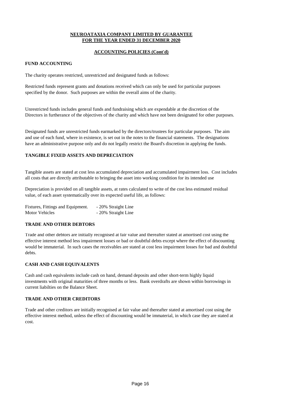# **NEUROATAXIA COMPANY LIMITED BY GUARANTEE FOR THE YEAR ENDED 31 DECEMBER 2020**

### **ACCOUNTING POLICIES (Cont'd)**

### **FUND ACCOUNTING**

The charity operates restricted, unrestricted and designated funds as follows:

Restricted funds represent grants and donations received which can only be used for particular purposes specified by the donor. Such purposes are within the overall aims of the charity.

Unrestricted funds includes general funds and fundraising which are expendable at the discretion of the Directors in furtherance of the objectives of the charity and which have not been designated for other purposes.

Designated funds are unrestricted funds earmarked by the directors/trustees for particular purposes. The aim and use of each fund, where in existence, is set out in the notes to the financial statements. The designations have an administrative purpose only and do not legally restrict the Board's discretion in applying the funds.

### **TANGIBLE FIXED ASSETS AND DEPRECIATION**

Tangible assets are stated at cost less accumulated depreciation and accumulated impairment loss. Cost includes all costs that are directly attributable to bringing the asset into working condition for its intended use

Depreciation is provided on all tangible assets, at rates calculated to write of the cost less estimated residual value, of each asset systematically over its expected useful life, as follows:

Fixtures, Fittings and Equipment. - 20% Straight Line Motor Vehicles - 20% Straight Line

### **TRADE AND OTHER DEBTORS**

Trade and other debtors are initially recognised at fair value and thereafter stated at amortised cost using the effective interest method less impairment losses or bad or doubtful debts except where the effect of discounting would be immaterial. In such cases the receivables are stated at cost less impairment losses for bad and doubtful debts.

### **CASH AND CASH EQUIVALENTS**

Cash and cash equivalents include cash on hand, demand deposits and other short-term highly liquid investments with original maturities of three months or less. Bank overdrafts are shown within borrowings in current liabilties on the Balance Sheet.

# **TRADE AND OTHER CREDITORS**

Trade and other creditors are initially recognised at fair value and thereafter stated at amortised cost using the effective interest method, unless the effect of discounting would be immaterial, in which case they are stated at cost.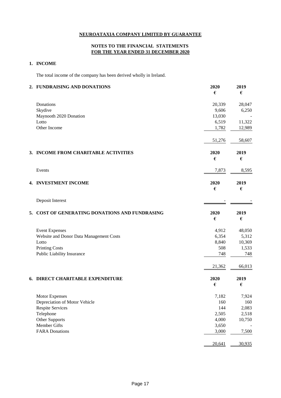# **NOTES TO THE FINANCIAL STATEMENTS FOR THE YEAR ENDED 31 DECEMBER 2020**

# **1. INCOME**

The total income of the company has been derived wholly in Ireland.

|    | 2. FUNDRAISING AND DONATIONS                | 2020<br>$\pmb{\epsilon}$ | 2019<br>€        |
|----|---------------------------------------------|--------------------------|------------------|
|    | Donations                                   | 20,339                   | 28,047           |
|    | Skydive                                     | 9,606                    | 6,250            |
|    | Maynooth 2020 Donation                      | 13,030                   |                  |
|    | Lotto                                       | 6,519                    | 11,322           |
|    | Other Income                                | 1,782                    | 12,989           |
|    |                                             | 51,276                   | 58,607           |
|    | 3. INCOME FROM CHARITABLE ACTIVITIES        | 2020                     | 2019             |
|    |                                             | €                        | €                |
|    | Events                                      | 7,873                    | 8,595            |
|    | 4. INVESTMENT INCOME                        | 2020                     | 2019             |
|    |                                             | €                        | €                |
|    | Deposit Interest                            |                          |                  |
| 5. | COST OF GENERATING DONATIONS AND FUNDRASING | 2020                     | 2019             |
|    |                                             | $\pmb{\epsilon}$         | $\pmb{\epsilon}$ |
|    | <b>Event Expenses</b>                       | 4,912                    | 48,050           |
|    | Website and Donor Data Management Costs     | 6,354                    | 5,312            |
|    | Lotto                                       | 8,840                    | 10,369           |
|    | <b>Printing Costs</b>                       | 508                      | 1,533            |
|    | Public Liability Insurance                  | 748                      | 748              |
|    |                                             | 21,362                   | 66,013           |
|    | 6. DIRECT CHARITABLE EXPENDITURE            | 2020                     | 2019             |
|    |                                             | €                        | €                |
|    | Motor Expenses                              | 7,182                    | 7,924            |
|    | Depreciation of Motor Vehicle               | 160                      | 160              |
|    | <b>Respite Services</b>                     | 144                      | 2,083            |
|    | Telephone                                   | 2,505                    | 2,518            |
|    | Other Supports                              | 4,000                    | 10,750           |
|    | Member Gifts                                | 3,650                    |                  |
|    | <b>FARA Donations</b>                       | 3,000                    | 7,500            |
|    |                                             | 20,641                   | 30,935           |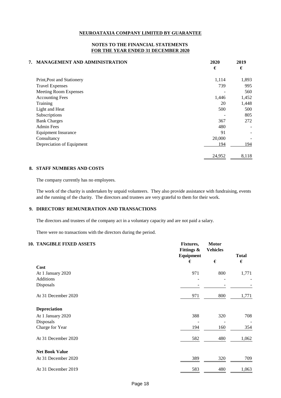### **NOTES TO THE FINANCIAL STATEMENTS FOR THE YEAR ENDED 31 DECEMBER 2020**

| 7. MANAGEMENT AND ADMINISTRATION | 2020<br>€ | 2019<br>€ |
|----------------------------------|-----------|-----------|
| Print, Post and Stationery       | 1,114     | 1,893     |
| <b>Travel Expenses</b>           | 739       | 995       |
| Meeting Room Expenses            |           | 560       |
| <b>Accounting Fees</b>           | 1,446     | 1,452     |
| Training                         | 20        | 1,448     |
| Light and Heat                   | 500       | 500       |
| Subscriptions                    |           | 805       |
| <b>Bank Charges</b>              | 367       | 272       |
| <b>Admin Fees</b>                | 480       | -         |
| <b>Equipment Insurance</b>       | 91        |           |
| Consultancy                      | 20,000    |           |
| Depreciation of Equipment        | 194       | 194       |
|                                  | 24,952    | 8,118     |

### **8. STAFF NUMBERS AND COSTS**

The company currently has no employees.

The work of the charity is undertaken by unpaid volunteers. They also provide assistance with fundraising, events and the running of the charity. The directors and trustees are very grateful to them for their work.

### **9. DIRECTORS' REMUNERATION AND TRANSACTIONS**

The directors and trustees of the company act in a voluntary capacity and are not paid a salary.

There were no transactions with the directors during the period.

# **10. TANGIBLE FIXED ASSETS Fixtures, Motor**

| <b>THUOLDED LEADER INSULTS</b> | T IALUI CO,<br><b>Fittings &amp;</b><br>Equipment<br>€ | 1710LVI<br><b>Vehicles</b><br>$\pmb{\epsilon}$ | <b>Total</b><br>€ |
|--------------------------------|--------------------------------------------------------|------------------------------------------------|-------------------|
| Cost                           |                                                        |                                                |                   |
| At 1 January 2020              | 971                                                    | 800                                            | 1,771             |
| Additions                      |                                                        |                                                |                   |
| Disposals                      |                                                        |                                                |                   |
| At 31 December 2020            | 971                                                    | 800                                            | 1,771             |
| <b>Depreciation</b>            |                                                        |                                                |                   |
| At 1 January 2020              | 388                                                    | 320                                            | 708               |
| Disposals                      |                                                        |                                                |                   |
| Charge for Year                | 194                                                    | 160                                            | 354               |
| At 31 December 2020            | 582                                                    | 480                                            | 1,062             |
| <b>Net Book Value</b>          |                                                        |                                                |                   |
| At 31 December 2020            | 389                                                    | 320                                            | 709               |
| At 31 December 2019            | 583                                                    | 480                                            | 1,063             |